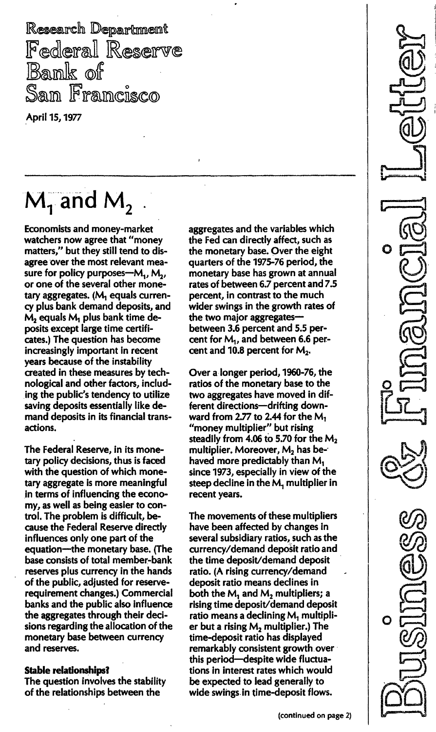Research Department Federal Reserve Bank of San Francisco

April 15, 1977

# $M_1$  and  $M_2$

Economists and money-market watchers now agree that "money matters/' but they still tend to disagree over the most relevant measure for policy purposes- $M_1$ ,  $M_2$ , or one of the several other monetary aggregates. (M, equals currency plus bank demand deposits, and  $M_2$  equals  $M_1$  plus bank time deposits except large time certificates.) The question has become increasingly important in recent years because of the instability created in these measures by technological and other factors, including the public's tendency to utilize saving deposits essentially like demand deposits in its financial transactions.

The Federal Reserve, in its monetary policy decisions, thus is faced with the question of which monetary aggregate is more meaningful in terms of influencing the economy, as well as being easier to control. The problem is difficult, because the Federal Reserve directly influences only one part of the equation--the monetary base. (The base consists of total member-bank reserves plus currency in the hands of the public, adjusted for reserverequirement changes.) Commercial banks and the public also influence the aggregates through their decisions regarding the allocation of the monetary base between currency and reserves.

### Stable relationships?

The question involves the stability of the relationships between the

aggregates and the variables which the Fed can directly affect, such as the monetary base. Over the eight quarters of the 1975-76 period, the monetary base has grown at annual rates of between 6.7 percent and 7.5 percent, in contrast to the much wider swings in the growth rates of the two major aggregatesbetween 3.6 percent and 5.5 percent for  $M_1$ , and between 6.6 percent and 10.8 percent for  $M_2$ .

Over a longer period, 1960-76, the ratios of the monetary base to the two aggregates have moved in different directions-drifting downward from 2.77 to 2.44 for the  $M_1$ "money multiplier" but rising steadily from 4.06 to 5.70 for the  $M<sub>2</sub>$ multiplier. Moreover,  $M_2$  has behaved more predictably than M, since 1973, especially in view of the steep decline in the M, multiplier in recent years.

The movements of these multipliers have been affected by changes in several subsidiary ratios, such as the currency/demand deposit ratio and the time deposit/demand deposit ratio. (A rising currency/demand deposit ratio means declines in both the  $M_1$  and  $M_2$  multipliers; a rising time deposit/demand deposit ratio means a declining M, multiplier but a rising  $M_2$  multiplier.) The time-deposit ratio has displayed remarkably consistent growth over this period-despite wide fluctuations in interest rates which would be expected to lead generally to wide swings in time-deposit flows.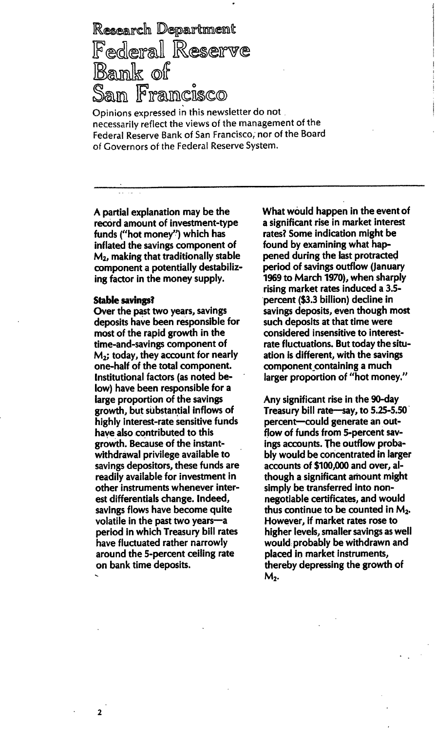Research Department Federal Reserve<br>Bank of San Francisco

Opinions expressed in this newsletter do not necessarily reflect the views of the management of the Federal Reserve Bank of San Francisco, nor of the Board of Governors of the Federal Reserve System.

A partial explanation may be the record amount of investment-type funds ("hot money") which has inflated the savings component of  $M<sub>2</sub>$ , making that traditionally stable component a potentially destabilizing factor in the money supply.

#### Stable savings?

2

Over the past two years, savings deposits have been responsible for most of the rapid growth in the time-and-savings component of  $M<sub>2</sub>$ ; today, they account for nearly one-half of the total component. Institutional factors (as noted below) have been responsible for a large proportion of the savings growth, but substantial inflows of highly interest-rate sensitive funds have also contributed to this growth. Because of the instantwithdrawal privilege available to savings depositors, these funds are readily available for investment in other instruments whenever interest differentials change. Indeed, savings flows have become quite volatile in the past two years-a period in which Treasury bill rates have fluctuated rather narrowly around the 5-percent ceiling rate on bank time deposits.

What would happen in the event of a significant rise in market interest rates? Some indication might be found by examining what happened during the last protracted period of savings outflow (January 1969 to March 1970), when sharply rising market rates induced a 3.5 percent(\$3.3 billion) decline in savings deposits, even though most such deposits at that time were considered insensitive to interestrate fluctuations. But today the situation is different, with the savings component\_containing a much larger proportion of "hot money."

Any significant rise in the 90-day Treasury bill rate-say, to 5.25-5.50 percent-could generate an outflow of funds from 5-percent savings accounts. The outflow probably would be concentrated in larger accounts of \$100,000 and over, although a significant amount might simply be transferred into nonnegotiable certificates, and would thus continue to be counted in  $M<sub>2</sub>$ . However, if market rates rose to higher levels, smaller savings as well would probably be withdrawn and placed in market instruments, thereby depressing the growth of M<sub>2</sub>.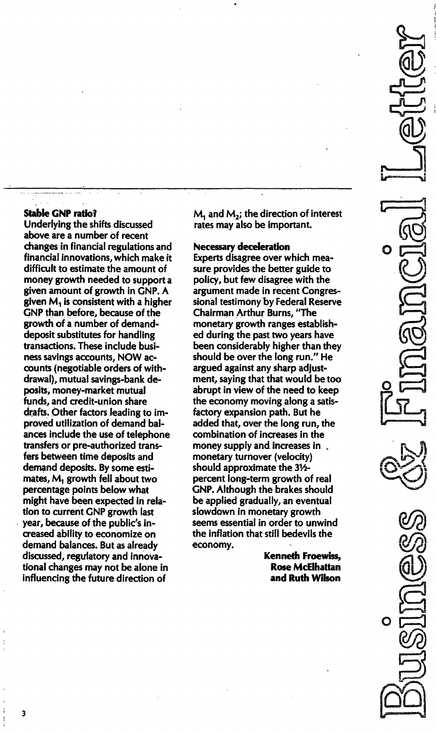#### Stable GNP ratio?

Underlying the shifts discussed above are a number of recent changes in financial regulations and financial innovations, which make it difficult to estimate the amount of money growth needed to support a given amount of growth in GNP. A given  $M_1$  is consistent with a higher GNP than before, because of the growth of a number of demanddeposit substitutes for handling transactions. These include business savings accounts, NOW accounts (negotiable orders of withdrawal), mutual savings-bank deposits, money-market mutual funds, and credit-union share drafts. Other factors leading to improved utilization of demand balances include the use of telephone transfers or pre-authorized transfers between time deposits and demand deposits. By some estimates,M, growth fell about two percentage points below what might have been expected in relation to current GNP growth last year, because of the public's increased ability to economize on demand balances. But as already discussed, regulatory and innovational changes may not be alone in influencing the future direction of

 $M<sub>1</sub>$  and  $M<sub>2</sub>$ ; the direction of interest rates may also be important.

#### Necessary deceleration

Experts disagree over which measure provides the better guide to policy, but few disagree with the argument made in recent Congressional testimony by Federal Reserve Chairman Arthur Burns, "The monetary growth ranges established during the past two years have been considerably higher than they should be over the long run." He argued against any sharp adjustment, saying that that would be too abrupt in view of the need to keep the economy moving along a satisfactory expansion path. But he added that, over the long run, the combination of increases in the money supply and increases in. monetary turnover (velocity) should approximate the 3V2 percent long-term growth of real GNP. Although the brakes should be applied gradually, an eventual slowdown in monetary growth seems essential in order to unwind the inflation that still bedevils the economy.

> Kenneth Froewiss, Rose McElhattan and Ruth Wilson

3